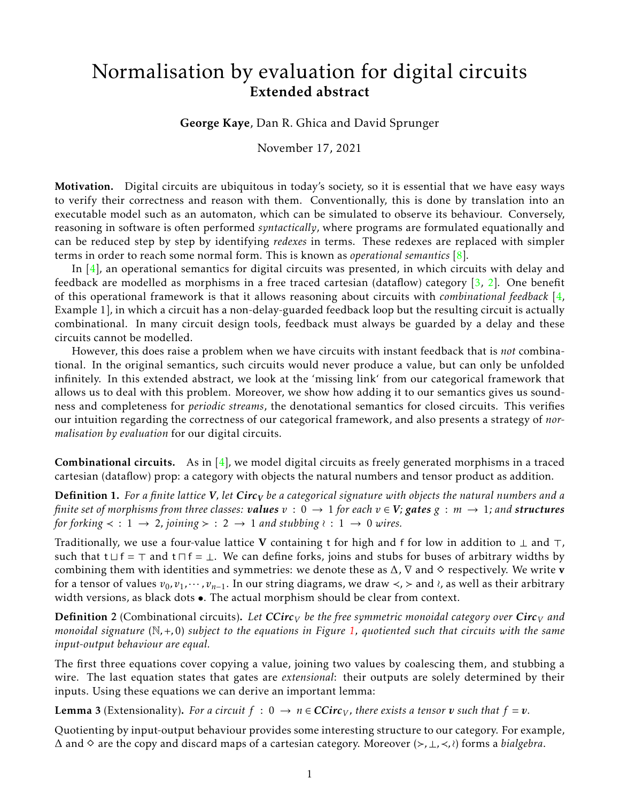## Normalisation by evaluation for digital circuits Extended abstract

George Kaye, Dan R. Ghica and David Sprunger

November 17, 2021

Motivation. Digital circuits are ubiquitous in today's society, so it is essential that we have easy ways to verify their correctness and reason with them. Conventionally, this is done by translation into an executable model such as an automaton, which can be simulated to observe its behaviour. Conversely, reasoning in software is often performed *syntactically*, where programs are formulated equationally and can be reduced step by step by identifying *redexes* in terms. These redexes are replaced with simpler terms in order to reach some normal form. This is known as *operational semantics* [\[8\]](#page-4-0).

In [\[4\]](#page-4-1), an operational semantics for digital circuits was presented, in which circuits with delay and feedback are modelled as morphisms in a free traced cartesian (dataflow) category [\[3,](#page-4-2) [2\]](#page-4-3). One benefit of this operational framework is that it allows reasoning about circuits with *combinational feedback* [\[4,](#page-4-1) Example 1], in which a circuit has a non-delay-guarded feedback loop but the resulting circuit is actually combinational. In many circuit design tools, feedback must always be guarded by a delay and these circuits cannot be modelled.

However, this does raise a problem when we have circuits with instant feedback that is *not* combinational. In the original semantics, such circuits would never produce a value, but can only be unfolded infinitely. In this extended abstract, we look at the 'missing link' from our categorical framework that allows us to deal with this problem. Moreover, we show how adding it to our semantics gives us soundness and completeness for *periodic streams*, the denotational semantics for closed circuits. This verifies our intuition regarding the correctness of our categorical framework, and also presents a strategy of *normalisation by evaluation* for our digital circuits.

**Combinational circuits.** As in  $[4]$ , we model digital circuits as freely generated morphisms in a traced cartesian (dataflow) prop: a category with objects the natural numbers and tensor product as addition.

Definition 1. *For a finite lattice V, let Circ<sup>V</sup> be a categorical signature with objects the natural numbers and a finite set of morphisms from three classes: <i>values*  $v : 0 \to 1$  for each  $v \in V$ ; gates  $g : m \to 1$ ; and structures *for forking*  $\lt$  : 1  $\rightarrow$  2*, joining*  $\gt$  : 2  $\rightarrow$  1 *and stubbing*  $\wr$  : 1  $\rightarrow$  0 *wires.* 

Traditionally, we use a four-value lattice V containing t for high and f for low in addition to  $\perp$  and  $\perp$ , such that t  $\sqcup$  f =  $\top$  and t  $\sqcap$  f =  $\bot$ . We can define forks, joins and stubs for buses of arbitrary widths by combining them with identities and symmetries: we denote these as  $\Delta$ ,  $\nabla$  and  $\diamond$  respectively. We write **v** for a tensor of values  $v_0, v_1, \dots, v_{n-1}$ . In our string diagrams, we draw  $\lt$ , > and  $\lambda$ , as well as their arbitrary width versions, as black dots  $\bullet$ . The actual morphism should be clear from context.

**Definition 2** (Combinational circuits). Let  $CCirc<sub>V</sub>$  be the free symmetric monoidal category over  $Circ<sub>V</sub>$  and *monoidal signature* (N*,*+*,*0) *subject to the equations in Figure [1,](#page-1-0) quotiented such that circuits with the same input-output behaviour are equal.*

The first three equations cover copying a value, joining two values by coalescing them, and stubbing a wire. The last equation states that gates are *extensional*: their outputs are solely determined by their inputs. Using these equations we can derive an important lemma:

**Lemma 3** (Extensionality). For a circuit  $f : 0 \rightarrow n \in CCirc_V$ , there exists a tensor v such that  $f = v$ .

Quotienting by input-output behaviour provides some interesting structure to our category. For example, <sup>∆</sup> and ⋄ are the copy and discard maps of a cartesian category. Moreover (≻*,*⊥*,*≺*,*≀) forms a *bialgebra*.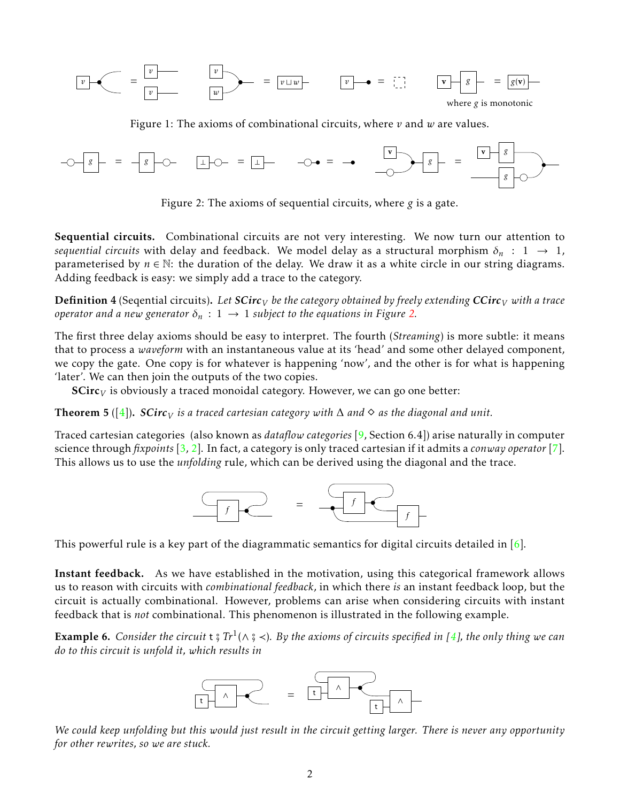

<span id="page-1-0"></span>Figure 1: The axioms of combinational circuits, where *v* and *w* are values.



<span id="page-1-1"></span>Figure 2: The axioms of sequential circuits, where *g* is a gate.

Sequential circuits. Combinational circuits are not very interesting. We now turn our attention to *sequential circuits* with delay and feedback. We model delay as a structural morphism  $\delta_n$  : 1  $\rightarrow$  1, parameterised by  $n \in \mathbb{N}$ : the duration of the delay. We draw it as a white circle in our string diagrams. Adding feedback is easy: we simply add a trace to the category.

**Definition 4** (Seqential circuits). Let  $SCirc<sub>V</sub>$  be the category obtained by freely extending  $CCirc<sub>V</sub>$  with a trace *operator and a new generator*  $\delta_n$  :  $1 \rightarrow 1$  *subject to the equations in Figure [2.](#page-1-1)* 

The first three delay axioms should be easy to interpret. The fourth (*Streaming*) is more subtle: it means that to process a *waveform* with an instantaneous value at its 'head' and some other delayed component, we copy the gate. One copy is for whatever is happening 'now', and the other is for what is happening 'later'. We can then join the outputs of the two copies.

SCirc*<sup>V</sup>* is obviously a traced monoidal category. However, we can go one better:

**Theorem 5** ([\[4\]](#page-4-1)). *SCirc*<sub>*V*</sub> *is a traced cartesian category with*  $\Delta$  *and*  $\diamond$  *as the diagonal and unit.* 

Traced cartesian categories (also known as *dataflow categories* [\[9,](#page-4-4) Section 6.4]) arise naturally in computer science through *fixpoints* [\[3,](#page-4-2) [2\]](#page-4-3). In fact, a category is only traced cartesian if it admits a *conway operator* [\[7\]](#page-4-5). This allows us to use the *unfolding* rule, which can be derived using the diagonal and the trace.



This powerful rule is a key part of the diagrammatic semantics for digital circuits detailed in  $[6]$ .

Instant feedback. As we have established in the motivation, using this categorical framework allows us to reason with circuits with *combinational feedback*, in which there *is* an instant feedback loop, but the circuit is actually combinational. However, problems can arise when considering circuits with instant feedback that is *not* combinational. This phenomenon is illustrated in the following example.

<span id="page-1-2"></span>**Example 6.** Consider the circuit  $t \frac{2}{3} Tr^1(\wedge \frac{2}{3} \prec)$ . By the axioms of circuits specified in [\[4\]](#page-4-1), the only thing we can do to this circuit is unfold it subjects and the section of circuits specified in [4], the on *do to this circuit is unfold it, which results in*



*We could keep unfolding but this would just result in the circuit getting larger. There is never any opportunity for other rewrites, so we are stuck.*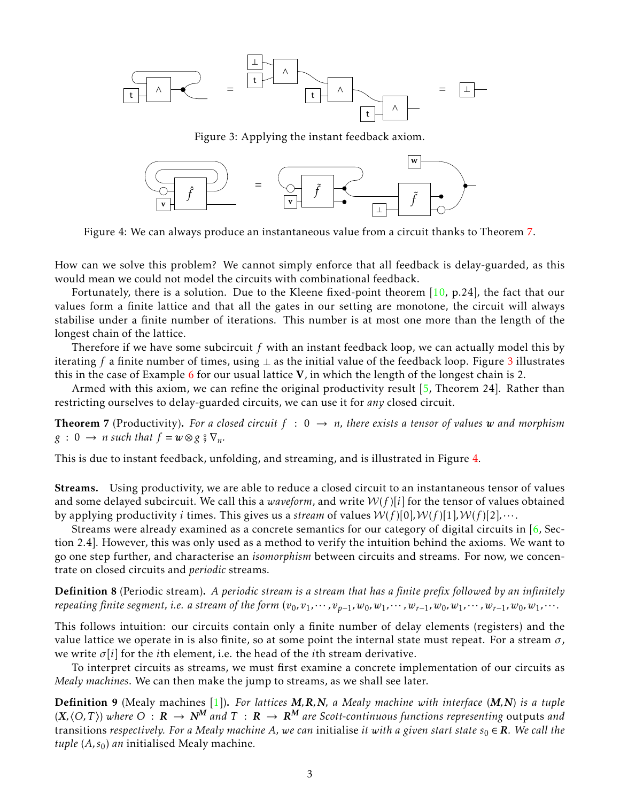

<span id="page-2-1"></span>Figure 3: Applying the instant feedback axiom.



<span id="page-2-2"></span>Figure 4: We can always produce an instantaneous value from a circuit thanks to Theorem [7.](#page-2-0)

How can we solve this problem? We cannot simply enforce that all feedback is delay-guarded, as this would mean we could not model the circuits with combinational feedback.

Fortunately, there is a solution. Due to the Kleene fixed-point theorem [\[10,](#page-4-7) p.24], the fact that our values form a finite lattice and that all the gates in our setting are monotone, the circuit will always stabilise under a finite number of iterations. This number is at most one more than the length of the longest chain of the lattice.

Therefore if we have some subcircuit *f* with an instant feedback loop, we can actually model this by iterating *f* a finite number of times, using ⊥ as the initial value of the feedback loop. Figure [3](#page-2-1) illustrates this in the case of Example [6](#page-1-2) for our usual lattice  $V$ , in which the length of the longest chain is 2.

Armed with this axiom, we can refine the original productivity result  $[5,$  Theorem 24]. Rather than restricting ourselves to delay-guarded circuits, we can use it for *any* closed circuit.

<span id="page-2-0"></span>**Theorem 7** (Productivity). For a closed circuit  $f : 0 \rightarrow n$ , there exists a tensor of values w and morphism  $g : 0 \rightarrow n$  *such that*  $f = w \otimes g \circ \nabla_n$ .

This is due to instant feedback, unfolding, and streaming, and is illustrated in Figure [4.](#page-2-2)

Streams. Using productivity, we are able to reduce a closed circuit to an instantaneous tensor of values and some delayed subcircuit. We call this a *waveform*, and write  $W(f)[i]$  for the tensor of values obtained by applying productivity *i* times. This gives us a *stream* of values  $W(f)[0], W(f)[1], W(f)[2], \cdots$ .

Streams were already examined as a concrete semantics for our category of digital circuits in [\[6,](#page-4-6) Section 2.4]. However, this was only used as a method to verify the intuition behind the axioms. We want to go one step further, and characterise an *isomorphism* between circuits and streams. For now, we concentrate on closed circuits and *periodic* streams.

Definition 8 (Periodic stream). *A periodic stream is a stream that has a finite prefix followed by an infinitely* repeating finite segment, i.e. a stream of the form  $(v_0, v_1, \dots, v_{n-1}, w_0, w_1, \dots, w_{r-1}, w_0, w_1, \dots, w_{r-1}, w_0, w_1, \dots$ 

This follows intuition: our circuits contain only a finite number of delay elements (registers) and the value lattice we operate in is also finite, so at some point the internal state must repeat. For a stream *σ*, we write *σ*[*i*] for the *i*th element, i.e. the head of the *i*th stream derivative.

To interpret circuits as streams, we must first examine a concrete implementation of our circuits as *Mealy machines*. We can then make the jump to streams, as we shall see later.

Definition 9 (Mealy machines [\[1\]](#page-4-9)). *For lattices M,R,N, a Mealy machine with interface* (*M,N*) *is a tuple*  $(X, \langle O, T \rangle)$  where  $O : R \to N^M$  and  $T : R \to R^M$  are Scott-continuous functions representing outputs and transitions *respectively. For a Mealy machine A, we can* initialise *it with a given start state*  $s_0 \in \mathbb{R}$ *. We call the tuple* (*A, s*0) *an* initialised Mealy machine*.*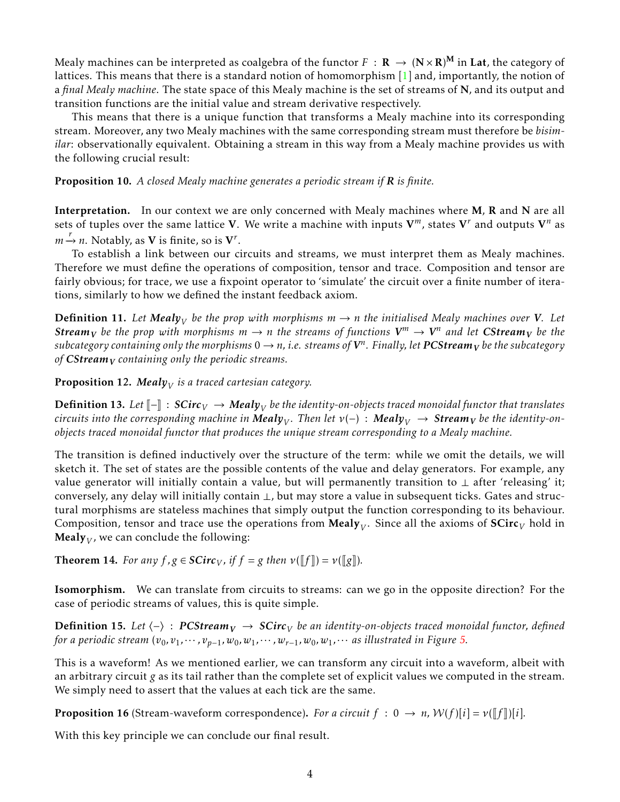Mealy machines can be interpreted as coalgebra of the functor  $F\,:\,\mathbf{R}\,\to\,(\mathbf{N}\!\times\!\mathbf{R})^\mathbf{M}$  in  $\mathbf{Lat}$ , the category of lattices. This means that there is a standard notion of homomorphism [\[1\]](#page-4-9) and, importantly, the notion of a *final Mealy machine*. The state space of this Mealy machine is the set of streams of N, and its output and transition functions are the initial value and stream derivative respectively.

This means that there is a unique function that transforms a Mealy machine into its corresponding stream. Moreover, any two Mealy machines with the same corresponding stream must therefore be *bisimilar*: observationally equivalent. Obtaining a stream in this way from a Mealy machine provides us with the following crucial result:

Proposition 10. *A closed Mealy machine generates a periodic stream if R is finite.*

Interpretation. In our context we are only concerned with Mealy machines where M, R and N are all sets of tuples over the same lattice V. We write a machine with inputs  $V^m$ , states  $V^r$  and outputs  $V^n$  as  $m \xrightarrow{r} n$ . Notably, as **V** is finite, so is **V**<sup>*r*</sup>.

To establish a link between our circuits and streams, we must interpret them as Mealy machines. Therefore we must define the operations of composition, tensor and trace. Composition and tensor are fairly obvious; for trace, we use a fixpoint operator to 'simulate' the circuit over a finite number of iterations, similarly to how we defined the instant feedback axiom.

 $\bf{Definition 11.}$  Let  $\bm{Mealy}_V$  be the prop with morphisms  $m \rightarrow n$  the initialised Mealy machines over  $V$ . Let  $S$ *tream* $_V$  be the prop with morphisms  $m \to n$  the streams of functions  $V^m \to V^n$  and let  $C$ Stream $_V$  be the  $s$ ubcategory containing only the morphisms  $0\to n$ , i.e. streams of  $\pmb{V}^n$ . Finally, let  $\pmb{PCS}$ tream $_{\pmb{V}}$  be the subcategory *of CStream<sup>V</sup> containing only the periodic streams.*

**Proposition 12. Meal** $y_V$  **is a traced cartesian category.** 

**Definition 13.** *Let*  $\llbracket - \rrbracket$  : *SCirc<sub>V</sub>* → *Mealy<sub>V</sub> be the identity-on-objects traced monoidal functor that translates*<br>circuits into the corresponding machine in Maghy Then let  $\nu(x)$ . Maghy sectragent he the  $c$ ircuits into the corresponding machine in  $\bm{Mealy}_V$ . Then let  $\nu(-)$  :  $\bm{Mealy}_V$   $\;\rightarrow$   $\bm{Stream}_V$  be the identity-on*objects traced monoidal functor that produces the unique stream corresponding to a Mealy machine.*

The transition is defined inductively over the structure of the term: while we omit the details, we will sketch it. The set of states are the possible contents of the value and delay generators. For example, any value generator will initially contain a value, but will permanently transition to  $\perp$  after 'releasing' it; conversely, any delay will initially contain ⊥, but may store a value in subsequent ticks. Gates and structural morphisms are stateless machines that simply output the function corresponding to its behaviour. Composition, tensor and trace use the operations from  $\mathrm{Mealy}_{V}.$  Since all the axioms of  $\mathbf{SCirc}_{V}$  hold in  $\mathbf{Mealy}_V$ , we can conclude the following:

**Theorem 14.** *For any*  $f, g \in \mathbf{SCirc}_V$ , *if*  $f = g$  *then*  $v(\llbracket f \rrbracket) = v(\llbracket g \rrbracket)$ *.* 

Isomorphism. We can translate from circuits to streams: can we go in the opposite direction? For the case of periodic streams of values, this is quite simple.

**Definition 15.** Let  $\langle - \rangle$  : **PCStream** $V$  → **SCirc** $V$  be an identity-on-objects traced monoidal functor, defined *for a periodic stream*  $(v_0, v_1, \dots, v_{p-1}, w_0, w_1, \dots, w_{r-1}, w_0, w_1, \dots$  *as illustrated in Figure [5.](#page-4-10)* 

This is a waveform! As we mentioned earlier, we can transform any circuit into a waveform, albeit with an arbitrary circuit *g* as its tail rather than the complete set of explicit values we computed in the stream. We simply need to assert that the values at each tick are the same.

**Proposition 16** (Stream-waveform correspondence). *For a circuit*  $f : 0 \rightarrow n$ ,  $W(f)[i] = \nu(\llbracket f \rrbracket)[i]$ .

With this key principle we can conclude our final result.